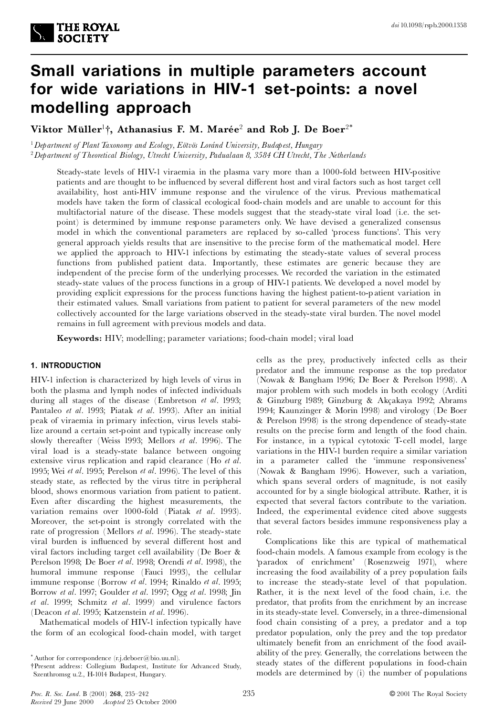

 $V$ iktor  $M$ üller<sup>1</sup>†, Athanasius F. M. Marée $^2$  and Rob J. De Boer $^{2*}$ 

<sup>1</sup> Department of Plant Taxonomy and Ecology, Eötvös Loránd University, Budapest, Hungary <sup>2</sup>*Department of Theoretical Biology, Utrecht University, Padualaan 8, 3584 CH Utrecht,The Netherlands*

Steady-state levels of HIV-1 viraemia in the plasma vary more than a 1000-fold between HIV-positive patients and are thought to be influenced by several different host and viral factors such as host target cell availability, host anti-HIV immune response and the virulence of the virus. Previous mathematical models have taken the form of classical ecological food-chain models and are unable to account for this multifactorial nature of the disease. These models suggest that the steady-state viral load (i.e. the setpoint) is determined by immune response parameters only. We have devised a generalized consensus model in which the conventional parameters are replaced by so-called `process functions'. This very general approach yields results that are insensitive to the precise form of the mathematical model. Here we applied the approach to HIV-1 infections by estimating the steady-state values of several process functions from published patient data. Importantly, these estimates are generic because they are independent of the precise form of the underlying processes. We recorded the variation in the estimated steady-state values of the process functions in a group of HIV-1 patients. We developed a novel model by providing explicit expressions for the process functions having the highest patient-to-p atient variation in their estimated values. Small variations from patient to patient for several parameters of the new model collectively accounted for the large variations observed in the steady-state viral burden. The novel model remains in full agreement with previous models and data.

**Keywords:** HIV; modelling; parameter variations; food-chain model; viral load

# **1. INTRODUCTION**

**THE ROYAL SOCIETY** 

HIV-1 infection is characterized by high levels of virus in both the plasma and lymph nodes of infected individuals during all stages of the disease (Embretson *et al*. 1993; Pantaleo *et al*. 1993; Piatak *et al*. 1993). After an initial peak of viraemia in primary infection, virus levels stabilize around a certain set-point and typically increase only slowly thereafter (Weiss 1993; Mellors *et al*. 1996). The viral load is a steady-state balance between ongoing extensive virus replication and rapid clearance (Ho *et al*. 1995; Wei *et al*. 1995; Perelson *et al*. 1996). The level of this steady state, as reflected by the virus titre in peripheral blood, shows enormous variation from patient to patient. Even after discarding the highest measurements, the variation remains over 1000-fold (Piatak *et al*. 1993). Moreover, the set-point is strongly correlated with the rate of progression (Mellors *et al*. 1996). The steady-state viral burden is influenced by several different host and viral factors including target cell availability (De Boer & Perelson 1998; De Boer *et al*. 1998; Orendi *et al*. 1998), the humoral immune response (Fauci 1993), the cellular immune response (Borrow *et al*. 1994; Rinaldo *et al*. 1995; Borrow *et al*. 1997; Goulder *et al*. 1997; Ogg *et al*. 1998; Jin *et al*. 1999; Schmitz *et al*. 1999) and virulence factors (Deacon *et al*. 1995; Katzenstein *et al*. 1996).

Mathematical models of HIV-1 infection typically have the form of an ecological food-chain model, with target

cells as the prey, productively infected cells as their predator and the immune response as the top predator (Nowak & Bangham 1996; De Boer & Perelson 1998). A major problem with such models in both ecology (Arditi & Ginzburg 1989; Ginzburg & Akçakaya 1992; Abrams 1994; Kaunzinger & Morin 1998) and virology (De Boer & Perelson 1998) is the strong dependence of steady-state results on the precise form and length of the food chain. For instance, in a typical cytotoxic T-cell model, large variations in the HIV-1 burden require a similar variation in a parameter called the `immune responsiveness' (Nowak & Bangham 1996). However, such a variation, which spans several orders of magnitude, is not easily accounted for by a single biological attribute. Rather, it is expected that several factors contribute to the variation. Indeed, the experimental evidence cited above suggests that several factors besides immune responsiveness play a role.

Complications like this are typical of mathematical food-chain models. A famous example from ecology is the `paradox of enrichment' (Rosenzweig 1971), where increasing the food availability of a prey population fails to increase the steady-state level of that population. Rather, it is the next level of the food chain, i.e. the predator, that profits from the enrichment by an increase in its steady-state level. Conversely, in a three-dimensional food chain consisting of a prey, a predator and a top predator population, only the prey and the top predator ultimately bene¢t from an enrichment of the food availability of the prey. Generally, the correlations between the steady states of the different populations in food-chain models are determined by (i) the number of populations

<sup>\*</sup> Author for correspondence (r.j.deboer@bio.uu.nl).

<sup>{</sup>Present address: Collegium Budapest, Institute for Advanced Study, Szenthromsg u.2., H-1014 Budapest, Hungary.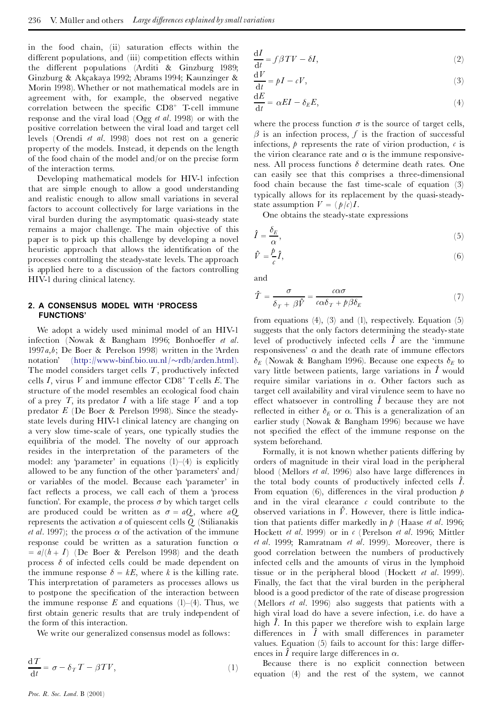in the food chain, (ii) saturation effects within the different populations, and (iii) competition effects within the different populations (Arditi & Ginzburg 1989; Ginzburg & Akçakaya 1992; Abrams 1994; Kaunzinger & Morin 1998). Whether or not mathematical models are in agreement with, for example, the observed negative correlation between the specific  $CD8<sup>+</sup>$  T-cell immune response and the viral load (Ogg *et al*. 1998) or with the positive correlation between the viral load and target cell levels (Orendi *et al*. 1998) does not rest on a generic property of the models. Instead, it depends on the length of the food chain of the model and/or on the precise form of the interaction terms.

Developing mathematical models for HIV-1 infection that are simple enough to allow a good understanding and realistic enough to allow small variations in several factors to account collectively for large variations in the viral burden during the asymptomatic quasi-steady state remains a major challenge. The main objective of this paper is to pick up this challenge by developing a novel heuristic approach that allows the identification of the processes controlling the steady-state levels. The approach is applied here to a discussion of the factors controlling HIV-1 during clinical latency.

## **2. A CONSENSUS MODEL WITH `PROCESS FUNCTIONS'**

We adopt a widely used minimal model of an HIV-1 infection (Nowak & Bangham 1996; Bonhoeffer et al. 1997*a*,*b*; De Boer & Perelson 1998) written in the `Arden notation' [\(http://www-binf.bio.uu.nl/](http://www-binf.bio.uu.nl/%7Erdb/arden.html) $\sim$ rdb/arden.html). The model considers target cells *T*, productively infected cells *I*, virus *V* and immune effector  $CD8^+$  T cells *E*. The structure of the model resembles an ecological food chain of a prey *T*, its predator *I* with a life stage *V* and a top predator *E* (De Boer & Perelson 1998). Since the steadystate levels during HIV-1 clinical latency are changing on a very slow time-scale of years, one typically studies the equilibria of the model. The novelty of our approach resides in the interpretation of the parameters of the model: any 'parameter' in equations  $(1)$ – $(4)$  is explicitly allowed to be any function of the other `parameters' and/ or variables of the model. Because each `parameter' in fact reflects a process, we call each of them a process function'. For example, the process  $\sigma$  by which target cells are produced could be written as  $\sigma = aQ$ , where  $aQ$ represents the activation *a* of quiescent cells *Q* (Stilianakis *et al.* 1997); the process  $\alpha$  of the activation of the immune response could be written as a saturation function  $\alpha$  $= a/(h + I)$  (De Boer & Perelson 1998) and the death process  $\delta$  of infected cells could be made dependent on the immune response  $\delta = kE$ , where *k* is the killing rate. This interpretation of parameters as processes allows us to postpone the specification of the interaction between the immune response  $E$  and equations (1)–(4). Thus, we first obtain generic results that are truly independent of the form of this interaction.

We write our generalized consensus model as follows:

$$
\frac{\mathrm{d}T}{\mathrm{d}t} = \sigma - \delta_T T - \beta T V,\tag{1}
$$

$$
\frac{\mathrm{d}I}{\mathrm{d}t} = f\beta T V - \delta I,\tag{2}
$$

$$
\frac{dV}{dt} = pI - cV,
$$
\n(3)\n
$$
\frac{dE}{dE} = F - cV,
$$
\n(4)

$$
\frac{dE}{dt} = \alpha EI - \delta_E E,\tag{4}
$$

where the process function  $\sigma$  is the source of target cells,  $\beta$  is an infection process,  $f$  is the fraction of successful infections,  $\phi$  represents the rate of virion production,  $c$  is the virion clearance rate and  $\alpha$  is the immune responsiveness. All process functions  $\delta$  determine death rates. One can easily see that this comprises a three-dimensional food chain because the fast time-scale of equation (3) typically allows for its replacement by the quasi-steadystate assumption  $V = (p/c)I$ .<br>One obtains the steady-state expressions

$$
\hat{I} = \frac{\delta_E}{\alpha},\tag{5}
$$

$$
\hat{V} = \frac{p}{c}\hat{I},\tag{6}
$$

and

$$
\hat{T} = \frac{\sigma}{\delta_T + \beta \hat{V}} = \frac{\iota \alpha \sigma}{\iota \alpha \delta_T + \beta \delta_E} \tag{7}
$$

from equations  $(4)$ ,  $(3)$  and  $(1)$ , respectively. Equation  $(5)$ suggests that the only factors determining the steady-state level of productively infected cells  $\hat{I}$  are the  $\hat{I}$  mmune responsiveness'  $\alpha$  and the death rate of immune effectors  $\delta_F$  (Nowak & Bangham 1996). Because one expects  $\delta_F$  to vary little between patients, large variations in *I*^ would require similar variations in  $\alpha$ . Other factors such as target cell availability and viral virulence seem to have no effect whatsoever in controlling  $\tilde{I}$  because they are not reflected in either  $\delta_E$  or  $\alpha$ . This is a generalization of an earlier study (Nowak & Bangham 1996) because we have not specified the effect of the immune response on the system beforehand.

Formally, it is not known whether patients differing by orders of magnitude in their viral load in the peripheral blood (Mellors *et al.* 1996) also have large differences in the total body counts of productively infected cells *I*^. From equation  $(6)$ , differences in the viral production  $p$ and in the viral clearance *c* could contribute to the observed variations in  $\hat{V}$ . However, there is little indication that patients differ markedly in  $p$  (Haase *et al.* 1996; Hockett *et al*. 1999) or in *c* (Perelson *et al*. 1996; Mittler *et al*. 1999; Ramratnam *et al*. 1999). Moreover, there is good correlation between the numbers of productively infected cells and the amounts of virus in the lymphoid tissue or in the peripheral blood (Hockett *et al*. 1999). Finally, the fact that the viral burden in the peripheral blood is a good predictor of the rate of disease progression (Mellors *et al*. 1996) also suggests that patients with a high viral load do have a severe infection, i.e. do have a high  $\hat{I}$ . In this paper we therefore wish to explain large differences in  $\hat{I}$  with small differences in parameter values. Equation  $(5)$  fails to account for this: large differences in  $\hat{I}$  require large differences in  $\alpha$ .

Because there is no explicit connection between equation (4) and the rest of the system, we cannot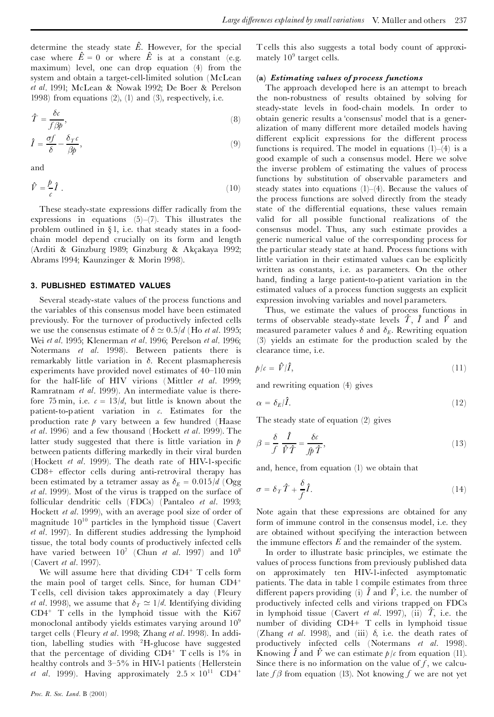determine the steady state  $\hat{E}$ . However, for the special case where  $\hat{E} = 0$  or where  $\hat{E}$  is at a constant (e.g. maximum) level, one can drop equation (4) from the system and obtain a target-cell-limited solution (McLean *et al*. 1991; McLean & Nowak 1992; De Boer & Perelson 1998) from equations (2), (1) and (3), respectively, i.e.

$$
\hat{T} = \frac{\delta c}{f \beta p},\tag{8}
$$

$$
\hat{I} = \frac{\sigma f}{\delta} - \frac{\delta_T c}{\beta p},\tag{9}
$$

and

$$
\hat{V} = \frac{\hat{p}}{c}\hat{I} \tag{10}
$$

These steady-state expressions differ radically from the expressions in equations  $(5)-(7)$ . This illustrates the problem outlined in  $\S$ 1, i.e. that steady states in a foodchain model depend crucially on its form and length (Arditi & Ginzburg 1989; Ginzburg & Akçakaya 1992; Abrams 1994; Kaunzinger & Morin 1998).

# **3. PUBLISHED ESTIMATED VALUES**

Several steady-state values of the process functions and the variables of this consensus model have been estimated previously. For the turnover of productively infected cells we use the consensus estimate of  $\delta \simeq 0.5/d$  (Ho *et al.* 1995; Wei *et al*. 1995; Klenerman *et al*. 1996; Perelson *et al*. 1996; Notermans *et al*. 1998). Between patients there is remarkably little variation in  $\delta$ . Recent plasmapheresis experiments have provided novel estimates of 40^110 min for the half-life of HIV virions (Mittler *et al*. 1999; Ramratnam *et al*. 1999). An intermediate value is therefore 75 min, i.e.  $c = 13/d$ , but little is known about the patient-to-p atient variation in *c*. Estimates for the production rate *p* vary between a few hundred (Haase *et al*. 1996) and a few thousand (Hockett *et al*. 1999). The latter study suggested that there is little variation in *p* between patients differing markedly in their viral burden (Hockett *et al.* 1999). The death rate of HIV-1-specific CD8+ effector cells during anti-retroviral therapy has been estimated by a tetramer assay as  $\delta_F = 0.015/d$  (Ogg *et al*. 1999). Most of the virus is trapped on the surface of follicular dendritic cells (FDCs) (Pantaleo *et al*. 1993; Hockett *et al*. 1999), with an average pool size of order of magnitude  $10^{10}$  particles in the lymphoid tissue (Cavert *et al.* 1997). In different studies addressing the lymphoid tissue, the total body counts of productively infected cells have varied between 10<sup>7</sup> (Chun *et al*. 1997) and 10<sup>8</sup> (Cavert *et al*. 1997).

We will assume here that dividing  $CD4^+$  T cells form the main pool of target cells. Since, for human CD4<sup>+</sup> Tcells, cell division takes approximately a day (Fleury *et al.* 1998), we assume that  $\delta_{\tau} \simeq 1/d$ . Identifying dividing  $CD4^+$  T cells in the lymphoid tissue with the Ki67 monoclonal antibody yields estimates varying around 10<sup>9</sup> target cells (Fleury *et al*. 1998; Zhang *et al*. 1998). In addition, labelling studies with <sup>2</sup>H-glucose have suggested that the percentage of dividing  $CD4^+$  T cells is  $1\%$  in healthy controls and 3-5% in HIV-1 patients (Hellerstein *et al.* 1999). Having approximately  $2.5 \times 10^{11}$  CD4<sup>+</sup>

Tcells this also suggests a total body count of approximately 10<sup>9</sup> target cells.

#### **(a)** *Estimating values of process functions*

The approach developed here is an attempt to breach the non-robustness of results obtained by solving for steady-state levels in food-chain models. In order to obtain generic results a `consensus' model that is a generalization of many different more detailed models having different explicit expressions for the different process functions is required. The model in equations  $(1)$ – $(4)$  is a good example of such a consensus model. Here we solve the inverse problem of estimating the values of process functions by substitution of observable parameters and steady states into equations  $(1)$ – $(4)$ . Because the values of the process functions are solved directly from the steady state of the differential equations, these values remain valid for all possible functional realizations of the consensus model. Thus, any such estimate provides a generic numerical value of the corresponding process for the particular steady state at hand. Process functions with little variation in their estimated values can be explicitly written as constants, i.e. as parameters. On the other hand, finding a large patient-to-patient variation in the estimated values of a process function suggests an explicit expression involving variables and novel parameters.

Thus, we estimate the values of process functions in terms of observable steady-state levels  $\hat{T}$ ,  $\hat{I}$  and  $\hat{V}$  and measured parameter values  $\delta$  and  $\delta_F$ . Rewriting equation (3) yields an estimate for the production scaled by the clearance time, i.e.

$$
p/c = \hat{V}/\hat{I},\tag{11}
$$

and rewriting equation (4) gives

$$
\alpha = \delta_E / \hat{I}.\tag{12}
$$

The steady state of equation (2) gives

$$
\beta = \frac{\delta}{f} \frac{\hat{I}}{\hat{V}\hat{T}} = \frac{\delta c}{f \hat{p}\hat{T}},\tag{13}
$$

and, hence, from equation (1) we obtain that

$$
\sigma = \delta_T \hat{T} + \frac{\delta}{f} \hat{I}.
$$
 (14)

Note again that these expressions are obtained for any form of immune control in the consensus model, i.e. they are obtained without specifying the interaction between the immune effectors  $E$  and the remainder of the system.

In order to illustrate basic principles, we estimate the values of process functions from previously published data on approximately ten HIV-1-infected asymptomatic patients. The data in table 1 compile estimates from three different papers providing (i)  $\hat{I}$  and  $\hat{V}$ , i.e. the number of productively infected cells and virions trapped on FDCs in lymphoid tissue (Cavert *et al.* 1997), (ii)  $\hat{T}$ , i.e. the number of dividing CD4+ T cells in lymphoid tissue (Zhang *et al.* 1998), and (iii)  $\delta$ , i.e. the death rates of productively infected cells (Notermans *et al*. 1998). Knowing  $\hat{I}$  and  $\hat{V}$  we can estimate  $p/c$  from equation (11). Since there is no information on the value of *f* , we calculate  $f\beta$  from equation (13). Not knowing  $f$  we are not yet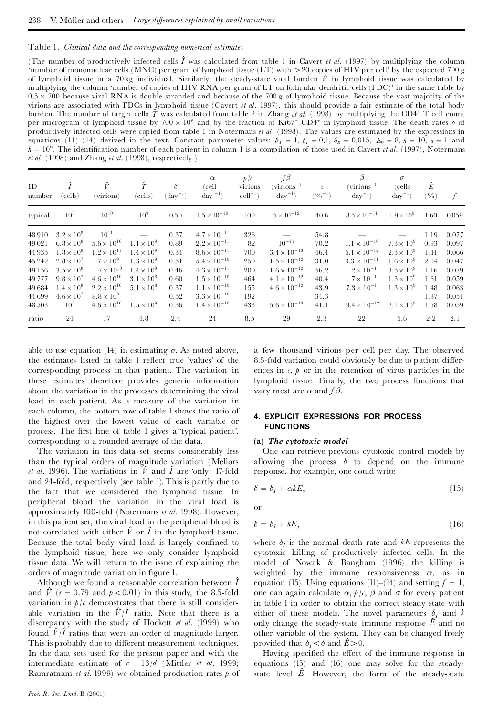#### Table 1. *Clinical data and the corresponding numerical estimates*

(The number of productively infected cells  $\hat{I}$  was calculated from table 1 in Cavert *et al.* (1997) by multiplying the column 'number of mononuclear cells (MNC) per gram of lymphoid tissue (LT) with >20 copies of HIV per cell' by the expected 700 g of lymphoid tissue in a 70 kg individual. Similarly, the steady-state viral burden  $\hat{V}$  in lymphoid tissue was calculated by multiplying the column `number of copies of HIV RNA per gram of LT on follicular dendritic cells (FDC)' in the same table by  $0.5 \times 700$  because viral RNA is double stranded and because of the 700 g of lymphoid tissue. Because the vast majority of the virions are associated with FDCs in lymphoid tissue (Cavert *et al*. 1997), this should provide a fair estimate of the total body burden. The number of target cells  $\tilde{T}$  was calculated from table 2 in Zhang *et al.* (1998) by multiplying the CD4<sup>+</sup> T cell count per microgram of lymphoid tissue by  $700 \times 10^6$  and by the fraction of Ki67+ CD4+ in lymphoid tissue. The death rates  $\delta$  of productively infected cells were copied from table 1 in Notermans *et al*. (1998). The values are estimated by the expressions in equations (11)–(14) derived in the text. Constant parameter values:  $\delta_T = 1$ ,  $\delta_l = 0.1$ ,  $\delta_E = 0.015$ ,  $E_0 = 8$ ,  $k = 10$ ,  $a = 1$  and  $h = 10^6$ . The identification number of each patient in column 1 is a compilation of those used in Cavert *et al.* (1997), Notermans *et al*. (1998) and Zhang *et al*. (1998), respectively.)

| ID<br>number | Ĩ<br>(cells)        | Ŷ<br>(virions)       | $\hat{T}$<br>(cells)     | $\delta$<br>$(\text{day}^{-1})$ | $\alpha$<br>$ cell^{-1}$<br>$\text{day}^{-1}$ | p/c<br>virions<br>$cell^{-1}$ ) | $f\beta$<br>$virions^{-1}$<br>$\rm{day}^{-1}$ | $\boldsymbol{\varepsilon}$<br>$(9/0^{-1})$ | β<br>$\rm (virions^{-1}$<br>$\text{day}^{-1}$ | $\sigma$<br>(cells<br>$\rm{day}^{-1}$ | Ê<br>$( \frac{0}{0} )$ | $\int$ |
|--------------|---------------------|----------------------|--------------------------|---------------------------------|-----------------------------------------------|---------------------------------|-----------------------------------------------|--------------------------------------------|-----------------------------------------------|---------------------------------------|------------------------|--------|
| typical      | 10 <sup>8</sup>     | $10^{10}$            | 10 <sup>9</sup>          | 0.50                            | $1.5 \times 10^{-10}$                         | 100                             | $5 \times 10^{-12}$                           | 40.6                                       | $8.5 \times 10^{-11}$                         | $1.9 \times 10^{9}$                   | 1.60                   | 0.059  |
| 48910        | $3.2 \times 10^8$   | $10^{11}$            |                          | 0.37                            | $4.7 \times 10^{-11}$                         | 326                             |                                               | 54.8                                       |                                               |                                       | 1.19                   | 0.077  |
| 49021        | $6.8 \times 10^{8}$ | $5.6 \times 10^{10}$ | $1.1 \times 10^{9}$      | 0.89                            | $2.2 \times 10^{-11}$                         | 82                              | $10^{-11}$                                    | 70.2                                       | $1.1 \times 10^{-10}$                         | $7.3 \times 10^{9}$                   | 0.93                   | 0.097  |
| 44 9 35      | $1.8 \times 10^{8}$ | $1.2 \times 10^{11}$ | $1.4 \times 10^{9}$      | 0.34                            | $8.6 \times 10^{-11}$                         | 700                             | $3.4 \times 10^{-13}$                         | 46.4                                       | $5.1 \times 10^{-12}$                         | $2.3 \times 10^{9}$                   | 1.41                   | 0.066  |
| 45 24 2      | $2.8 \times 10^{7}$ | $7 \times 10^9$      | $1.3 \times 10^{9}$      | 0.51                            | $5.4 \times 10^{-10}$                         | 250                             | $1.5 \times 10^{-12}$                         | 31.0                                       | $3.3 \times 10^{-11}$                         | $1.6 \times 10^{9}$                   | 2.04                   | 0.047  |
| 49 156       | $3.5 \times 10^{8}$ | $7 \times 10^{10}$   | $1.4 \times 10^{9}$      | 0.46                            | $4.3 \times 10^{-11}$                         | 200                             | $1.6 \times 10^{-12}$                         | 56.2                                       | $2 \times 10^{-11}$                           | $3.5 \times 10^{9}$                   | 1.16                   | 0.079  |
| 49 7 7 7     | $9.8 \times 10^{7}$ | $4.6 \times 10^{10}$ | $3.1 \times 10^8$        | 0.60                            | $1.5 \times 10^{-10}$                         | 464                             | $4.1 \times 10^{-12}$                         | 40.4                                       | $7 \times 10^{-11}$                           | $1.3 \times 10^{9}$                   | 1.61                   | 0.059  |
| 49684        | $1.4 \times 10^{8}$ | $2.2 \times 10^{10}$ | $5.1 \times 10^8$        | 0.37                            | $1.1 \times 10^{-10}$                         | 155                             | $4.6 \times 10^{-12}$                         | 43.9                                       | $7.3 \times 10^{-11}$                         | $1.3 \times 10^{9}$                   | 1.48                   | 0.063  |
| 44 699       | $4.6 \times 10^{7}$ | $8.8 \times 10^{9}$  | $\overline{\phantom{0}}$ | 0.52                            | $3.3 \times 10^{-10}$                         | 192                             | $\hspace{0.1mm}-\hspace{0.1mm}$               | 34.3                                       |                                               | $\overbrace{\qquad \qquad }^{}$       | 1.87                   | 0.051  |
| 48 503       | $10^8$              | $4.6 \times 10^{10}$ | $1.5 \times 10^{9}$      | 0.36                            | $1.4 \times 10^{-10}$                         | 433                             | $5.6 \times 10^{-13}$                         | 41.1                                       | $9.4 \times 10^{-12}$                         | $2.1 \times 10^{9}$                   | 1.58                   | 0.059  |
| ratio        | 24                  | 17                   | 4.8                      | 2.4                             | 24                                            | 8.5                             | 29                                            | 2.3                                        | 22                                            | 5.6                                   | 2.2                    | 2.1    |

able to use equation (14) in estimating  $\sigma$ . As noted above, the estimates listed in table 1 reflect true 'values' of the corresponding process in that patient. The variation in these estimates therefore provides generic information about the variation in the processes determining the viral load in each patient. As a measure of the variation in each column, the bottom row of table 1 shows the ratio of the highest over the lowest value of each variable or process. The first line of table 1 gives a 'typical patient', corresponding to a rounded average of the data.

The variation in this data set seems considerably less than the typical orders of magnitude variation (Mellors *et al.* 1996). The variations in  $\hat{V}$  and  $\hat{I}$  are 'only' 17-fold and 24-fold, respectively (see table 1). This is partly due to the fact that we considered the lymphoid tissue. In peripheral blood the variation in the viral load is approximately 100-fold (Notermans *et al*. 1998). However, in this patient set, the viral load in the peripheral blood is not correlated with either  $\hat{V}$  or  $\hat{I}$  in the lymphoid tissue. Because the total body viral load is largely confined to the lymphoid tissue, here we only consider lymphoid tissue data. We will return to the issue of explaining the orders of magnitude variation in figure 1.

Although we found a reasonable correlation between *I*^ and  $\hat{V}$  ( $r = 0.79$  and  $p < 0.01$ ) in this study, the 8.5-fold variation in  $p/c$  demonstrates that there is still considerable variation in the  $\hat{V}/\hat{I}$  ratio. Note that there is a discrepancy with the study of Hockett *et al*. (1999) who found  $\hat{V}/\hat{I}$  ratios that were an order of magnitude larger. This is probably due to different measurement techniques. In the data sets used for the present paper and with the intermediate estimate of  $c = 13/d$  (Mittler *et al.* 1999; Ramratnam *et al*. 1999) we obtained production rates *p* of

a few thousand virions per cell per day. The observed 8.5-fold variation could obviously be due to patient differences in  $c, p$  or in the retention of virus particles in the lymphoid tissue. Finally, the two process functions that vary most are  $\alpha$  and  $f\beta$ .

# **4. EXPLICIT EXPRESSIONS FOR PROCESS FUNCTIONS**

#### **(a)** *The cytotoxic model*

One can retrieve previous cytotoxic control models by allowing the process  $\delta$  to depend on the immune response. For example, one could write

$$
\delta = \delta_I + \alpha k E, \tag{15}
$$

or

$$
\delta = \delta_I + kE,\tag{16}
$$

where  $\delta_I$  is the normal death rate and  $kE$  represents the cytotoxic killing of productively infected cells. In the model of Nowak & Bangham (1996) the killing is weighted by the immune responsiveness  $\alpha$ , as in equation (15). Using equations (11)–(14) and setting  $f = 1$ , one can again calculate  $\alpha$ ,  $p/c$ ,  $\beta$  and  $\sigma$  for every patient in table 1 in order to obtain the correct steady state with either of these models. The novel parameters  $\delta_I$  and *k* only change the steady-state immune response  $\hat{E}$  and no other variable of the system. They can be changed freely provided that  $\delta_I < \delta$  and  $\dot{E} > 0$ .

Having specified the effect of the immune response in equations (15) and (16) one may solve for the steadystate level  $\overrightarrow{E}$ . However, the form of the steady-state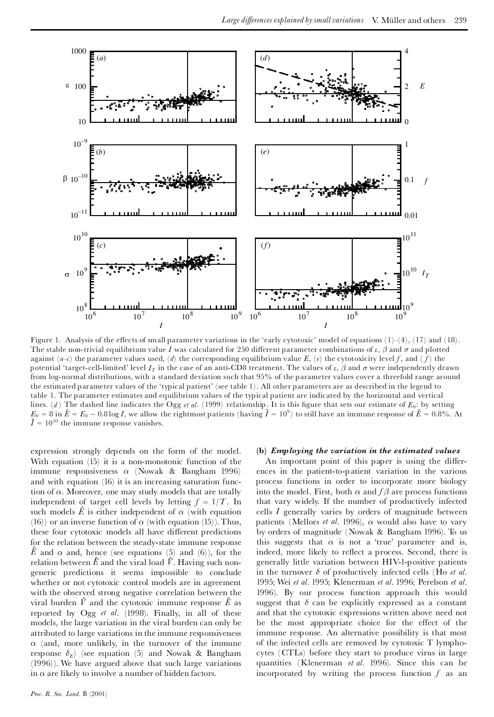

Figure 1. Analysis of the effects of small parameter variations in the 'early cytotoxic' model of equations  $(1)-(4)$ ,  $(17)$  and  $(18)$ . The stable non-trivial equilibrium value *I* was calculated for 250 different parameter combinations of  $\varepsilon$ ,  $\beta$  and  $\sigma$  and plotted against  $(a-c)$  the parameter values used, (*d*) the corresponding equilibrium value *E*, (*e*) the cytotoxicity level *f*, and (*f*) the potential 'target-cell-limited' level  $I<sub>T</sub>$  in the case of an anti-CD8 treatment. The values of  $\varepsilon$ ,  $\beta$  and  $\sigma$  were independently drawn from log-normal distributions, with a standard deviation such that 95% of the parameter values cover a threefold range around the estimated parameter values of the `typical patient' (see table 1). All other parameters are as described in the legend to table 1. The parameter estimates and equilibrium values of the typical patient are indicated by the horizontal and vertical lines. (*d*) The dashed line indicates the Ogg *et al.* (1999) relationship. It is this figure that sets our estimate of  $E_0$ : by setting  $E_0 = 8$  in  $\hat{E} = E_0 - 0.8 \log I$ , we allow the rightmost patients (having  $\hat{I} = 10^9$ ) to still have an immune response of  $\hat{E} = 0.8$ %. At  $\hat{I} = 10^{10}$  the immune response vanishes.

expression strongly depends on the form of the model. With equation (15) it is a non-monotonic function of the immune responsiveness  $\alpha$  (Nowak & Bangham 1996) and with equation (16) it is an increasing saturation function of  $\alpha$ . Moreover, one may study models that are totally independent of target cell levels by letting  $f = 1/T$ . In such models  $\hat{E}$  is either independent of  $\alpha$  (with equation (16)) or an inverse function of  $\alpha$  (with equation (15)). Thus, these four cytotoxic models all have different predictions for the relation between the steady-state immune response  $\hat{E}$  and  $\alpha$  and, hence (see equations (5) and (6)), for the relation between  $\hat{E}$  and the viral load  $\hat{V}$ . Having such nongeneric predictions it seems impossible to conclude whether or not cytotoxic control models are in agreement with the observed strong negative correlation between the viral burden  $\hat{V}$  and the cytotoxic immune response  $\hat{E}$  as reported by Ogg *et al*. (1998). Finally, in all of these models, the large variation in the viral burden can only be attributed to large variations in the immune responsiveness  $\alpha$  (and, more unlikely, in the turnover of the immune response  $\delta_F$ ) (see equation (5) and Nowak & Bangham (1996)). We have argued above that such large variations in  $\alpha$  are likely to involve a number of hidden factors.

#### *Proc. R. Soc. Lond.* B (2001)

### **(b)** *Employing the variation in the estimated values*

An important point of this paper is using the differences in the patient-to-p atient variation in the various process functions in order to incorporate more biology into the model. First, both  $\alpha$  and  $f\beta$  are process functions that vary widely. If the number of productively infected cells *I* generally varies by orders of magnitude between patients (Mellors *et al.* 1996),  $\alpha$  would also have to vary by orders of magnitude (Nowak & Bangham 1996). To us this suggests that  $\alpha$  is not a 'true' parameter and is, indeed, more likely to reflect a process. Second, there is generally little variation between HIV-1-positive patients in the turnover  $\delta$  of productively infected cells (Ho *et al.*) 1995; Wei *et al*. 1995; Klenerman *etal*. 1996; Perelson *etal*. 1996). By our process function approach this would suggest that  $\delta$  can be explicitly expressed as a constant and that the cytotoxic expressions written above need not be the most appropriate choice for the effect of the immune response. An alternative possibility is that most of the infected cells are removed by cytotoxic T lymphocytes (CTLs) before they start to produce virus in large quantities (Klenerman *et al*. 1996). Since this can be incorporated by writing the process function *f* as an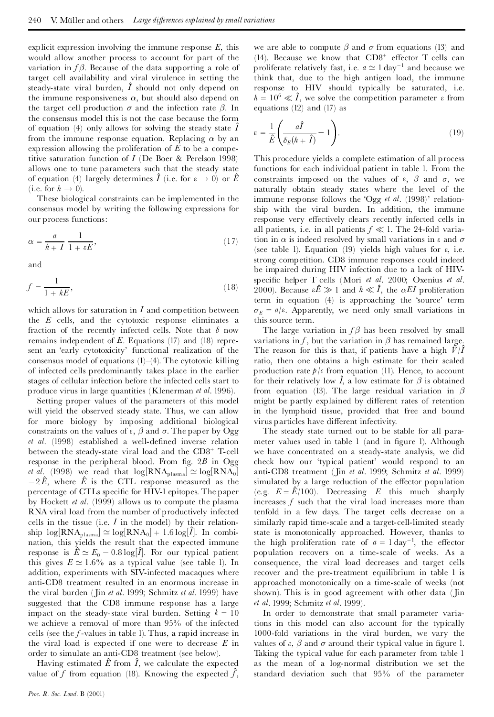explicit expression involving the immune response *E*, this would allow another process to account for part of the variation in  $f\beta$ . Because of the data supporting a role of target cell availability and viral virulence in setting the steady-state viral burden, *I*^ should not only depend on the immune responsiveness  $\alpha$ , but should also depend on the target cell production  $\sigma$  and the infection rate  $\beta$ . In the consensus model this is not the case because the form of equation (4) only allows for solving the steady state  $\hat{I}$ from the immune response equation. Replacing  $\alpha$  by an expression allowing the proliferation of *E* to be a competitive saturation function of *I* (De Boer & Perelson 1998) allows one to tune parameters such that the steady state of equation (4) largely determines  $\hat{I}$  (i.e. for  $\varepsilon \to 0$ ) or  $\hat{E}$  (i.e. for  $h \to 0$ ).

These biological constraints can be implemented in the consensus model by writing the following expressions for our process functions:

$$
\alpha = \frac{a}{h+I} \frac{1}{1+\varepsilon E},\tag{17}
$$

and

$$
f = \frac{1}{1 + kE},\tag{18}
$$

which allows for saturation in *I* and competition between the *E* cells, and the cytotoxic response eliminates a fraction of the recently infected cells. Note that  $\delta$  now remains independent of *E*. Equations (17) and (18) represent an 'early cytotoxicity' functional realization of the consensus model of equations  $(1)$ – $(4)$ . The cytotoxic killing of infected cells predominantly takes place in the earlier stages of cellular infection before the infected cells start to produce virus in large quantities (Klenerman *et al*. 1996).

Setting proper values of the parameters of this model will yield the observed steady state. Thus, we can allow for more biology by imposing additional biological constraints on the values of  $\varepsilon$ ,  $\beta$  and  $\sigma$ . The paper by Ogg *et al.* (1998) established a well-defined inverse relation between the steady-state viral load and the CD8<sup>+</sup> T-cell response in the peripheral blood. From fig. 2*B* in Ogg *et al.* (1998) we read that  $log[RNA_{plasma}] \simeq log[RNA_0]$  $-2\hat{E}$ , where  $\hat{E}$  is the CTL response measured as the percentage of CTLs specific for HIV-1 epitopes. The paper by Hockett *et al*. (1999) allows us to compute the plasma RNA viral load from the number of productively infected cells in the tissue (i.e. *I* in the model) by their relationship  $log[RNA_{\text{plasma}}] \simeq log[RNA_0] + 1.6 log[I]$ . In combination, this yields the result that the expected immune response is  $\hat{E} \simeq E_0 - 0.8 \log[\hat{I}]$ . For our typical patient this gives  $E \simeq 1.6\%$  as a typical value (see table 1). In addition, experiments with SIV-infected macaques where anti-CD8 treatment resulted in an enormous increase in the viral burden ( Jin *etal*. 1999; Schmitz *et al*. 1999) have suggested that the CD8 immune response has a large impact on the steady-state viral burden. Setting  $k = 10$  we achieve a removal of more than 95% of the infected cells (see the *f* -values in table 1). Thus, a rapid increase in the viral load is expected if one were to decrease *E* in order to simulate an anti-CD8 treatment (see below).

Having estimated  $\hat{E}$  from  $\hat{I}$ , we calculate the expected value of *f* from equation (18). Knowing the expected  $\hat{f}$ , we are able to compute  $\beta$  and  $\sigma$  from equations (13) and (14). Because we know that  $CD8^+$  effector T cells can proliferate relatively fast, i.e.  $a \approx 1 \text{ day}^{-1}$  and because we think that, due to the high antigen load, the immune response to HIV should typically be saturated, i.e.  $h = 10^6 \ll \hat{I}$ , we solve the competition parameter  $\varepsilon$  from equations (12) and (17) as

$$
\varepsilon = \frac{1}{\hat{E}} \left( \frac{a\hat{I}}{\delta_E (h + \hat{I})} - 1 \right). \tag{19}
$$

This procedure yields a complete estimation of all process functions for each individual patient in table 1. From the constraints imposed on the values of  $\varepsilon$ ,  $\beta$  and  $\sigma$ , we naturally obtain steady states where the level of the immune response follows the `Ogg *et al*. (1998)' relationship with the viral burden. In addition, the immune response very effectively clears recently infected cells in all patients, i.e. in all patients  $f \ll 1$ . The 24-fold variation in  $\alpha$  is indeed resolved by small variations in  $\varepsilon$  and  $\sigma$ (see table 1). Equation (19) yields high values for  $\varepsilon$ , i.e. strong competition. CD8 immune responses could indeed be impaired during HIV infection due to a lack of HIVspeci¢c helper T cells (Mori *et al*. 2000; Oxenius *et al*. 2000). Because  $\epsilon \hat{E} \gg 1$  and  $h \ll \hat{I}$ , the  $\alpha EI$  proliferation term in equation (4) is approaching the `source' term  $\sigma_E = a/\varepsilon$ . Apparently, we need only small variations in this source term.

The large variation in  $f\beta$  has been resolved by small variations in  $f$ , but the variation in  $\beta$  has remained large. The reason for this is that, if patients have a high  $\ddot{V}/\ddot{I}$ ratio, then one obtains a high estimate for their scaled production rate  $p/c$  from equation (11). Hence, to account for their relatively low  $\hat{I}$ , a low estimate for  $\beta$  is obtained from equation (13). The large residual variation in  $\beta$ might be partly explained by different rates of retention in the lymphoid tissue, provided that free and bound virus particles have different infectivity.

The steady state turned out to be stable for all para meter values used in table 1 (and in figure 1). Although we have concentrated on a steady-state analysis, we did check how our `typical patient' would respond to an anti-CD8 treatment ( Jin *et al*. 1999; Schmitz *et al*. 1999) simulated by a large reduction of the effector population (e.g.  $E = \hat{E}/100$ ). Decreasing *E* this much sharply increases *f* such that the viral load increases more than tenfold in a few days. The target cells decrease on a similarly rapid time-scale and a target-cell-limited steady state is monotonically approached. However, thanks to the high proliferation rate of  $a = 1 \text{ day}^{-1}$ , the effector population recovers on a time-scale of weeks. As a consequence, the viral load decreases and target cells recover and the pre-treatment equilibrium in table 1 is approached monotonically on a time-scale of weeks (not shown). This is in good agreement with other data (Jin *et al*. 1999; Schmitz *et al*. 1999).

In order to demonstrate that small parameter variations in this model can also account for the typically 1000-fold variations in the viral burden, we vary the values of  $\varepsilon$ ,  $\beta$  and  $\sigma$  around their typical value in figure 1. Taking the typical value for each parameter from table 1 as the mean of a log-normal distribution we set the standard deviation such that 95% of the parameter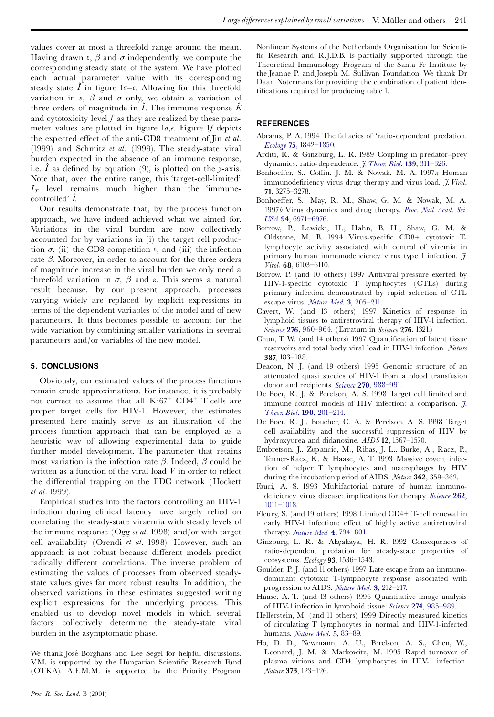values cover at most a threefold range around the mean. Having drawn  $\varepsilon$ ,  $\beta$  and  $\sigma$  independently, we compute the corresponding steady state of the system. We have plotted each actual parameter value with its corresponding steady state  $\hat{I}$  in figure  $1a-c$ . Allowing for this threefold variation in  $\varepsilon$ ,  $\beta$  and  $\sigma$  only, we obtain a variation of three orders of magnitude in  $\hat{I}$ . The immune response  $\hat{E}$ and cytotoxicity level *f* as they are realized by these para meter values are plotted in figure  $\mathrm{d} \mathcal{A}, \mathcal{E}$ . Figure  $\mathrm{d} \mathcal{f}$  depicts the expected effect of the anti-CD8 treatment of  $\overline{\text{lin}}$  *et al.* (1999) and Schmitz *et al*. (1999). The steady-state viral burden expected in the absence of an immune response, i.e.  $\hat{I}$  as defined by equation (9), is plotted on the *y*-axis. Note that, over the entire range, this 'target-cell-limited'  $I<sub>T</sub>$  level remains much higher than the  $\lim$ mmunecontrolled' *I*^.

Our results demonstrate that, by the process function approach, we have indeed achieved what we aimed for. Variations in the viral burden are now collectively accounted for by variations in (i) the target cell production  $\sigma$ , (ii) the CD8 competition  $\varepsilon$ , and (iii) the infection rate  $\beta$ . Moreover, in order to account for the three orders of magnitude increase in the viral burden we only need a threefold variation in  $\sigma$ ,  $\beta$  and  $\varepsilon$ . This seems a natural result because, by our present approach, processes varying widely are replaced by explicit expressions in terms of the dependent variables of the model and of new parameters. It thus becomes possible to account for the wide variation by combining smaller variations in several parameters and/or variables of the new model.

# **5. CONCLUSIONS**

Obviously, our estimated values of the process functions remain crude approximations. For instance, it is probably not correct to assume that all Ki67<sup>+</sup> CD4<sup>+</sup> T cells are proper target cells for HIV-1. However, the estimates presented here mainly serve as an illustration of the process function approach that can be employed as a heuristic way of allowing experimental data to guide further model development. The parameter that retains most variation is the infection rate  $\beta$ . Indeed,  $\beta$  could be written as a function of the viral load  $V$  in order to reflect the differential trapping on the FDC network (Hockett *et al*. 1999).

Empirical studies into the factors controlling an HIV-1 infection during clinical latency have largely relied on correlating the steady-state viraemia with steady levels of the immune response (Ogg *et al*. 1998) and/or with target cell availability (Orendi *et al*. 1998). However, such an approach is not robust because different models predict radically different correlations. The inverse problem of estimating the values of processes from observed steadystate values gives far more robust results. In addition, the observed variations in these estimates suggested writing explicit expressions for the underlying process. This enabled us to develop novel models in which several factors collectively determine the steady-state viral burden in the asymptomatic phase.

We thank José Borghans and Lee Segel for helpful discussions. V.M. is supported by the Hungarian Scientific Research Fund (OTKA). A.F.M.M. is supported by the Priority Program

Nonlinear Systems of the Netherlands Organization for Scienti fic Research and R.J.D.B. is partially supported through the Theoretical Immunology Program of the Santa Fe Institute by the Jeanne P. and Joseph M. Sullivan Foundation. We thank Dr Daan Notermans for providing the combination of patient identifications required for producing table 1.

## **REFERENCES**

- Abrams, P. A. 1994 The fallacies of `ratio-dependent' predation. *Ecology* **75**, [1842^1850.](http://alidoro.catchword.com/nw=1/rpsv/0012-9658^28^2975L.1842[csa=0012-9658^26vol=75^26iss=6^26firstpage=1842])
- Arditi, R. & Ginzburg, L. R. 1989 Coupling in predator^prey dynamics: ratio-dependence. *J.Theor. Biol*. **139**, [311^326.](http://alidoro.catchword.com/nw=1/rpsv/0022-5193^28^29139L.311[csa=0022-5193^26vol=139^26iss=3^26firstpage=311])
- Bonhoeffer, S., Coffin, J. M. & Nowak, M. A. 1997<sub>a</sub> Human immunodeficiency virus drug therapy and virus load. *J. Virol*. **71**, 3275^3278.
- Bonhoeffer, S., May, R. M., Shaw, G. M. & Nowak, M. A. 1997*b* Virus dynamics and drug therapy. *Proc. Natl [Acad.](http://alidoro.catchword.com/nw=1/rpsv/0027-8424^28^2994L.6971[nlm=9192676]) Sci. USA* **94**, [6971^6976.](http://alidoro.catchword.com/nw=1/rpsv/0027-8424^28^2994L.6971[nlm=9192676])
- Borrow, P., Lewicki, H., Hahn, B. H., Shaw, G. M. & Oldstone, M. B. 1994 Virus-specific CD8+ cytotoxic Tlymphocyte activity associated with control of viremia in primary human immunodeficiency virus type 1 infection.  $\tilde{J}$ . *Virol*. **68**, 6103^6110.
- Borrow, P. (and 10 others) 1997 Antiviral pressure exerted by HIV-1-specific cytotoxic T lymphocytes (CTLs) during primary infection demonstrated by rapid selection of CTL escape virus. *Nature Med*. **3**, [205^211.](http://alidoro.catchword.com/nw=1/rpsv/1078-8956^28^293L.205[nlm=9018240])
- Cavert, W. (and 13 others) 1997 Kinetics of response in lymphoid tissues to antiretroviral therapy of HIV-1 infection. *Science* **276**, [960^964.](http://alidoro.catchword.com/nw=1/rpsv/0036-8075^28^29276L.960[nlm=9139661]) (Erratum in *Science* **276**, 1321.)
- Chun, T. W. (and 14 others) 1997 Quantification of latent tissue reservoirs and total body viral load in HIV-1 infection. *Nature* **387**, 183^188.
- Deacon, N. J. (and 19 others) 1995 Genomic structure of an attenuated quasi species of HIV-1 from a blood transfusion donor and recipients. *Science* **270**, [988^991.](http://alidoro.catchword.com/nw=1/rpsv/0036-8075^28^29270L.988[nlm=7481804])
- De Boer, R. J. & Perelson, A. S. 1998 Target cell limited and immune control models of HIV infection: a comparison. *[J.](http://alidoro.catchword.com/nw=1/rpsv/0022-5193^28^29190L.201[nlm=9514649]) Theor. Biol*. **190**, [201^214.](http://alidoro.catchword.com/nw=1/rpsv/0022-5193^28^29190L.201[nlm=9514649])
- De Boer, R. J., Boucher, C. A. & Perelson, A. S. 1998 Target cell availability and the successful suppression of HIV by hydroxyurea and didanosine. *AIDS* **12**, 1567^1570.
- Embretson, J., Zupancic, M., Ribas, J. L., Burke, A., Racz, P., Tenner-Racz, K. & Haase, A. T. 1993 Massive covert infection of helper T lymphocytes and macrophages by HIV during the incubation period of AIDS. *Nature* **362**, 359^362.
- Fauci, A. S. 1993 Multifactorial nature of human immunodeficiency virus disease: implications for therapy. *[Science](http://alidoro.catchword.com/nw=1/rpsv/0036-8075^28^29262L.1011[nlm=8235617])* 262, [1011^1018.](http://alidoro.catchword.com/nw=1/rpsv/0036-8075^28^29262L.1011[nlm=8235617])
- Fleury, S. (and 19 others) 1998 Limited CD4+ T-cell renewal in early HIV-1 infection: effect of highly active antiretroviral therapy. *Nature Med*. **4**, [794^801.](http://alidoro.catchword.com/nw=1/rpsv/1078-8956^28^294L.794[nlm=9662370])
- Ginzburg, L. R. & Akçakaya, H. R. 1992 Consequences of ratio-dependent predation for steady-state properties of ecosystems. *Ecology* **93**, 1536^1543.
- Goulder, P. J. (and 11 others) 1997 Late escape from an immunodominant cytotoxic T-lymphocyte response associated with progression to AIDS. *Nature Med*. **3**, [212^217.](http://alidoro.catchword.com/nw=1/rpsv/1078-8956^28^293L.212[nlm=9018241])
- Haase, A. T. (and 13 others) 1996 Quantitative image analysis of HIV-1 infection in lymphoid tissue. *Science* **274**, [985^989.](http://alidoro.catchword.com/nw=1/rpsv/0036-8075^28^29274L.985[nlm=8875941])
- Hellerstein, M. (and 11 others) 1999 Directly measured kinetics of circulating T lymphocytes in normal and HIV-1-infected humans. *Nature Med*. **5**, [83^89.](http://alidoro.catchword.com/nw=1/rpsv/1078-8956^28^295L.83[nlm=9883844])
- Ho, D. D., Newmann, A. U., Perelson, A. S., Chen, W., Leonard, J. M. & Markowitz, M. 1995 Rapid turnover of plasma virions and CD4 lymphocytes in HIV-1 infection. *Nature* **373**, 123^126.